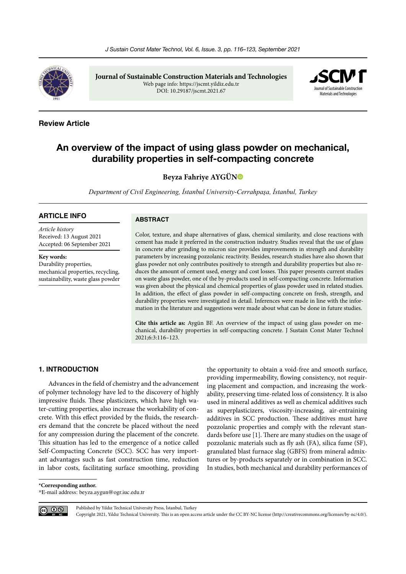

**Journal of Sustainable Construction Materials and Technologies** Web page info: https://jscmt.yildiz.edu.tr DOI: 10.29187/jscmt.2021.67



# **Review Article**

# **An overview of the impact of using glass powder on mechanical, durability properties in self-compacting concrete**

**Beyza Fahriye AYGÜ[N](https://orcid.org/0000-0002-1317-9148)**

*Department of Civil Engineering, İstanbul University-Cerrahpaşa, İstanbul, Turkey*

### **ARTICLE INFO**

*Article history* Received: 13 August 2021 Accepted: 06 September 2021

**Key words:** Durability properties, mechanical properties, recycling, sustainability, waste glass powder

### **ABSTRACT**

Color, texture, and shape alternatives of glass, chemical similarity, and close reactions with cement has made it preferred in the construction industry. Studies reveal that the use of glass in concrete after grinding to micron size provides improvements in strength and durability parameters by increasing pozzolanic reactivity. Besides, research studies have also shown that glass powder not only contributes positively to strength and durability properties but also reduces the amount of cement used, energy and cost losses. This paper presents current studies on waste glass powder, one of the by-products used in self-compacting concrete. Information was given about the physical and chemical properties of glass powder used in related studies. In addition, the effect of glass powder in self-compacting concrete on fresh, strength, and durability properties were investigated in detail. Inferences were made in line with the information in the literature and suggestions were made about what can be done in future studies.

**Cite this article as:** Aygün BF. An overview of the impact of using glass powder on mechanical, durability properties in self-compacting concrete. J Sustain Const Mater Technol 2021;6:3:116–123.

#### **1. INTRODUCTION**

Advances in the field of chemistry and the advancement of polymer technology have led to the discovery of highly impressive fluids. These plasticizers, which have high water-cutting properties, also increase the workability of concrete. With this effect provided by the fluids, the researchers demand that the concrete be placed without the need for any compression during the placement of the concrete. This situation has led to the emergence of a notice called Self-Compacting Concrete (SCC). SCC has very important advantages such as fast construction time, reduction in labor costs, facilitating surface smoothing, providing

the opportunity to obtain a void-free and smooth surface, providing impermeability, flowing consistency, not requiring placement and compaction, and increasing the workability, preserving time-related loss of consistency. It is also used in mineral additives as well as chemical additives such as superplasticizers, viscosity-increasing, air-entraining additives in SCC production. These additives must have pozzolanic properties and comply with the relevant standards before use [1]. There are many studies on the usage of pozzolanic materials such as fly ash (FA), silica fume (SF), granulated blast furnace slag (GBFS) from mineral admixtures or by-products separately or in combination in SCC. In studies, both mechanical and durability performances of

**\*Corresponding author.**

\*E-mail address: beyza.aygun@ogr.iuc.edu.tr



Published by Yıldız Technical University Press, İstanbul, Turkey

Copyright 2021, Yıldız Technical University. This is an open access article under the CC BY-NC license (http://creativecommons.org/licenses/by-nc/4.0/).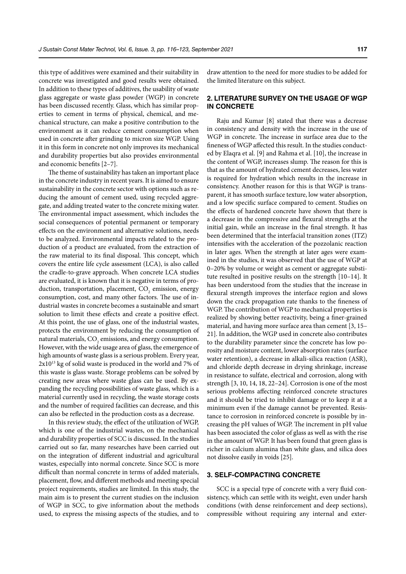this type of additives were examined and their suitability in concrete was investigated and good results were obtained. In addition to these types of additives, the usability of waste glass aggregate or waste glass powder (WGP) in concrete has been discussed recently. Glass, which has similar properties to cement in terms of physical, chemical, and mechanical structure, can make a positive contribution to the environment as it can reduce cement consumption when used in concrete after grinding to micron size WGP. Using it in this form in concrete not only improves its mechanical and durability properties but also provides environmental and economic benefits [2–7].

The theme of sustainability has taken an important place in the concrete industry in recent years. It is aimed to ensure sustainability in the concrete sector with options such as reducing the amount of cement used, using recycled aggregate, and adding treated water to the concrete mixing water. The environmental impact assessment, which includes the social consequences of potential permanent or temporary effects on the environment and alternative solutions, needs to be analyzed. Environmental impacts related to the production of a product are evaluated, from the extraction of the raw material to its final disposal. This concept, which covers the entire life cycle assessment (LCA), is also called the cradle-to-grave approach. When concrete LCA studies are evaluated, it is known that it is negative in terms of production, transportation, placement,  $\mathrm{CO}_2$  emission, energy consumption, cost, and many other factors. The use of industrial wastes in concrete becomes a sustainable and smart solution to limit these effects and create a positive effect. At this point, the use of glass, one of the industrial wastes, protects the environment by reducing the consumption of natural materials,  $\mathrm{CO}_\mathrm{2}$  emissions, and energy consumption. However, with the wide usage area of glass, the emergence of high amounts of waste glass is a serious problem. Every year, 2x1013 kg of solid waste is produced in the world and 7% of this waste is glass waste. Storage problems can be solved by creating new areas where waste glass can be used. By expanding the recycling possibilities of waste glass, which is a material currently used in recycling, the waste storage costs and the number of required facilities can decrease, and this can also be reflected in the production costs as a decrease.

In this review study, the effect of the utilization of WGP, which is one of the industrial wastes, on the mechanical and durability properties of SCC is discussed. In the studies carried out so far, many researches have been carried out on the integration of different industrial and agricultural wastes, especially into normal concrete. Since SCC is more difficult than normal concrete in terms of added materials, placement, flow, and different methods and meeting special project requirements, studies are limited. In this study, the main aim is to present the current studies on the inclusion of WGP in SCC, to give information about the methods used, to express the missing aspects of the studies, and to

draw attention to the need for more studies to be added for the limited literature on this subject.

# **2. LITERATURE SURVEY ON THE USAGE OF WGP IN CONCRETE**

Raju and Kumar [8] stated that there was a decrease in consistency and density with the increase in the use of WGP in concrete. The increase in surface area due to the fineness of WGP affected this result. In the studies conducted by Elaqra et al. [9] and Rahma et al. [10], the increase in the content of WGP, increases slump. The reason for this is that as the amount of hydrated cement decreases, less water is required for hydration which results in the increase in consistency. Another reason for this is that WGP is transparent, it has smooth surface texture, low water absorption, and a low specific surface compared to cement. Studies on the effects of hardened concrete have shown that there is a decrease in the compressive and flexural strengths at the initial gain, while an increase in the final strength. It has been determined that the interfacial transition zones (ITZ) intensifies with the acceleration of the pozzolanic reaction in later ages. When the strength at later ages were examined in the studies, it was observed that the use of WGP at 0–20% by volume or weight as cement or aggregate substitute resulted in positive results on the strength [10–14]. It has been understood from the studies that the increase in flexural strength improves the interface region and slows down the crack propagation rate thanks to the fineness of WGP. The contribution of WGP to mechanical properties is realized by showing better reactivity, being a finer-grained material, and having more surface area than cement [3, 15– 21]. In addition, the WGP used in concrete also contributes to the durability parameter since the concrete has low porosity and moisture content, lower absorption rates (surface water retention), a decrease in alkali-silica reaction (ASR), and chloride depth decrease in drying shrinkage, increase in resistance to sulfate, electrical and corrosion, along with strength [3, 10, 14, 18, 22–24]. Corrosion is one of the most serious problems affecting reinforced concrete structures and it should be tried to inhibit damage or to keep it at a minimum even if the damage cannot be prevented. Resistance to corrosion in reinforced concrete is possible by increasing the pH values of WGP. The increment in pH value has been associated the color of glass as well as with the rise in the amount of WGP. It has been found that green glass is richer in calcium alumina than white glass, and silica does not dissolve easily in voids [25].

### **3. SELF-COMPACTING CONCRETE**

SCC is a special type of concrete with a very fluid consistency, which can settle with its weight, even under harsh conditions (with dense reinforcement and deep sections), compressible without requiring any internal and exter-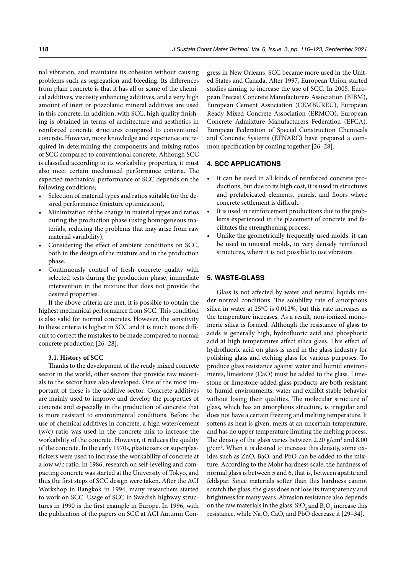nal vibration, and maintains its cohesion without causing problems such as segregation and bleeding. Its differences from plain concrete is that it has all or some of the chemical additives, viscosity enhancing additives, and a very high amount of inert or pozzolanic mineral additives are used in this concrete. In addition, with SCC, high quality finishing is obtained in terms of architecture and aesthetics in reinforced concrete structures compared to conventional concrete. However, more knowledge and experience are required in determining the components and mixing ratios of SCC compared to conventional concrete. Although SCC is classified according to its workability properties, it must also meet certain mechanical performance criteria. The expected mechanical performance of SCC depends on the following conditions;

- Selection of material types and ratios suitable for the desired performance (mixture optimization),
- Minimization of the change in material types and ratios during the production phase (using homogeneous materials, reducing the problems that may arise from raw material variability),
- Considering the effect of ambient conditions on SCC, both in the design of the mixture and in the production phase.
- Continuously control of fresh concrete quality with selected tests during the production phase, immediate intervention in the mixture that does not provide the desired properties.

If the above criteria are met, it is possible to obtain the highest mechanical performance from SCC. This condition is also valid for normal concretes. However, the sensitivity to these criteria is higher in SCC and it is much more difficult to correct the mistakes to be made compared to normal concrete production [26–28].

#### **3.1. History of SCC**

Thanks to the development of the ready mixed concrete sector in the world, other sectors that provide raw materials to the sector have also developed. One of the most important of these is the additive sector. Concrete additives are mainly used to improve and develop the properties of concrete and especially in the production of concrete that is more resistant to environmental conditions. Before the use of chemical additives in concrete, a high water/cement (w/c) ratio was used in the concrete mix to increase the workability of the concrete. However, it reduces the quality of the concrete. In the early 1970s, plasticizers or superplasticizers were used to increase the workability of concrete at a low w/c ratio. In 1986, research on self-leveling and compacting concrete was started at the University of Tokyo, and thus the first steps of SCC design were taken. After the ACI Workshop in Bangkok in 1994, many researchers started to work on SCC. Usage of SCC in Swedish highway structures in 1990 is the first example in Europe. In 1996, with the publication of the papers on SCC at ACI Autumn Congress in New Orleans, SCC became more used in the United States and Canada. After 1997, European Union started studies aiming to increase the use of SCC. In 2005, European Precast Concrete Manufacturers Association (BIBM), European Cement Association (CEMBUREU), European Ready Mixed Concrete Association (ERMCO), European Concrete Admixture Manufacturers Federation (EFCA), European Federation of Special Construction Chemicals and Concrete Systems (EFNARC) have prepared a common specification by coming together [26–28].

### **4. SCC APPLICATIONS**

- It can be used in all kinds of reinforced concrete productions, but due to its high cost, it is used in structures and prefabricated elements, panels, and floors where concrete settlement is difficult.
- It is used in reinforcement productions due to the problems experienced in the placement of concrete and facilitates the strengthening process.
- Unlike the geometrically frequently used molds, it can be used in unusual molds, in very densely reinforced structures, where it is not possible to use vibrators.

#### **5. WASTE-GLASS**

Glass is not affected by water and neutral liquids under normal conditions. The solubility rate of amorphous silica in water at  $25^{\circ}$ C is 0.012%, but this rate increases as the temperature increases. As a result, non-ionized monomeric silica is formed. Although the resistance of glass to acids is generally high, hydrofluoric acid and phosphoric acid at high temperatures affect silica glass. This effect of hydrofluoric acid on glass is used in the glass industry for polishing glass and etching glass for various purposes. To produce glass resistance against water and humid environments, limestone (CaO) must be added to the glass. Limestone or limestone-added glass products are both resistant to humid environments, water and exhibit stable behavior without losing their qualities. The molecular structure of glass, which has an amorphous structure, is irregular and does not have a certain freezing and melting temperature. It softens as heat is given, melts at an uncertain temperature, and has no upper temperature limiting the melting process. The density of the glass varies between  $2.20$  g/cm<sup>3</sup> and  $8.00$ g/cm3 . When it is desired to increase this density, some oxides such as ZnO, BaO, and PbO can be added to the mixture. According to the Mohr hardness scale, the hardness of normal glass is between 5 and 6, that is, between apatite and feldspar. Since materials softer than this hardness cannot scratch the glass, the glass does not lose its transparency and brightness for many years. Abrasion resistance also depends on the raw materials in the glass. SiO<sub>2</sub> and  $B_2O_3$  increase this resistance, while  $\text{Na}_2\text{O}$ , CaO, and PbO decrease it [29–34].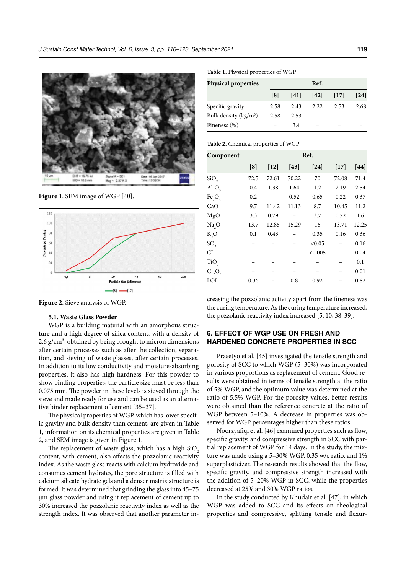

**Figure 1**. SEM image of WGP [40].



**Figure 2**. Sieve analysis of WGP.

#### **5.1. Waste Glass Powder**

WGP is a building material with an amorphous structure and a high degree of silica content, with a density of 2.6  $g/cm<sup>3</sup>$ , obtained by being brought to micron dimensions after certain processes such as after the collection, separation, and sieving of waste glasses, after certain processes. In addition to its low conductivity and moisture-absorbing properties, it also has high hardness. For this powder to show binding properties, the particle size must be less than 0.075 mm. The powder in these levels is sieved through the sieve and made ready for use and can be used as an alternative binder replacement of cement [35–37].

The physical properties of WGP, which has lower specific gravity and bulk density than cement, are given in Table 1, information on its chemical properties are given in Table 2, and SEM image is given in Figure 1.

The replacement of waste glass, which has a high SiO<sub>2</sub> content, with cement, also affects the pozzolanic reactivity index. As the waste glass reacts with calcium hydroxide and consumes cement hydrates, the pore structure is filled with calcium silicate hydrate gels and a denser matrix structure is formed. It was determined that grinding the glass into 45–75 µm glass powder and using it replacement of cement up to 30% increased the pozzolanic reactivity index as well as the strength index. It was observed that another parameter in-

**Table 1.** Physical properties of WGP

| <b>Physical properties</b> | Ref. |      |      |      |                   |  |
|----------------------------|------|------|------|------|-------------------|--|
|                            | [8]  | [41] | [42] | [17] | $\left[24\right]$ |  |
| Specific gravity           | 2.58 | 2.43 | 2.22 | 2.53 | 2.68              |  |
| Bulk density $(kg/m3)$     | 2.58 | 2.53 |      |      |                   |  |
| Fineness (%)               |      | 3.4  |      |      |                   |  |

**Table 2.** Chemical properties of WGP

| Component         | Ref. |        |        |         |        |       |
|-------------------|------|--------|--------|---------|--------|-------|
|                   | [8]  | $[12]$ | $[43]$ | $[24]$  | $[17]$ | [44]  |
| SiO <sub>2</sub>  | 72.5 | 72.61  | 70.22  | 70      | 72.08  | 71.4  |
| AI, O,            | 0.4  | 1.38   | 1.64   | 1.2     | 2.19   | 2.54  |
| Fe,O <sub>3</sub> | 0.2  |        | 0.52   | 0.65    | 0.22   | 0.37  |
| CaO               | 9.7  | 11.42  | 11.13  | 8.7     | 10.45  | 11.2  |
| MgO               | 3.3  | 0.79   |        | 3.7     | 0.72   | 1.6   |
| Na <sub>2</sub> O | 13.7 | 12.85  | 15.29  | 16      | 13.71  | 12.25 |
| $K_2O$            | 0.1  | 0.43   |        | 0.35    | 0.16   | 0.36  |
| SO <sub>3</sub>   |      |        |        | < 0.05  |        | 0.16  |
| CI                |      |        |        | < 0.005 |        | 0.04  |
| TiO <sub>2</sub>  |      |        |        |         |        | 0.1   |
| $Cr_2O_3$         |      |        |        |         |        | 0.01  |
| LOI               | 0.36 |        | 0.8    | 0.92    |        | 0.82  |

creasing the pozzolanic activity apart from the fineness was the curing temperature. As the curing temperature increased, the pozzolanic reactivity index increased [5, 10, 38, 39].

# **6. EFFECT OF WGP USE ON FRESH AND HARDENED CONCRETE PROPERTIES IN SCC**

Prasetyo et al. [45] investigated the tensile strength and porosity of SCC to which WGP (5–30%) was incorporated in various proportions as replacement of cement. Good results were obtained in terms of tensile strength at the ratio of 5% WGP, and the optimum value was determined at the ratio of 5.5% WGP. For the porosity values, better results were obtained than the reference concrete at the ratio of WGP between 5–10%. A decrease in properties was observed for WGP percentages higher than these ratios.

Noorzyafiqi et al. [46] examined properties such as flow, specific gravity, and compressive strength in SCC with partial replacement of WGP for 14 days. In the study, the mixture was made using a 5–30% WGP, 0.35 w/c ratio, and 1% superplasticizer. The research results showed that the flow, specific gravity, and compressive strength increased with the addition of 5–20% WGP in SCC, while the properties decreased at 25% and 30% WGP ratios.

In the study conducted by Khudair et al. [47], in which WGP was added to SCC and its effects on rheological properties and compressive, splitting tensile and flexur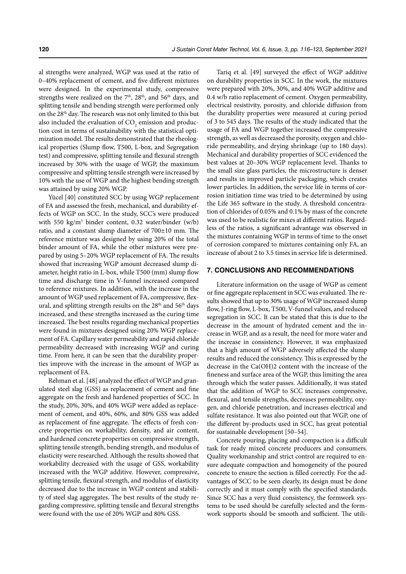al strengths were analyzed, WGP was used at the ratio of 0–40% replacement of cement, and five different mixtures were designed. In the experimental study, compressive strengths were realized on the  $7<sup>th</sup>$ ,  $28<sup>th</sup>$ , and  $56<sup>th</sup>$  days, and splitting tensile and bending strength were performed only on the 28<sup>th</sup> day. The research was not only limited to this but also included the evaluation of  $\mathrm{CO}_2$  emission and production cost in terms of sustainability with the statistical optimization model. The results demonstrated that the rheological properties (Slump flow, T500, L-box, and Segregation test) and compressive, splitting tensile and flexural strength increased by 30% with the usage of WGP, the maximum compressive and splitting tensile strength were increased by 10% with the use of WGP and the highest bending strength was attained by using 20% WGP.

Yücel [40] constituted SCC by using WGP replacement of FA and assessed the fresh, mechanical, and durability effects of WGP on SCC. In the study, SCC's were produced with 550 kg/m3 binder content, 0.32 water/binder (w/b) ratio, and a constant slump diameter of 700±10 mm. The reference mixture was designed by using 20% of the total binder amount of FA, while the other mixtures were prepared by using 5–20% WGP replacement of FA. The results showed that increasing WGP amount decreased slump diameter, height ratio in L-box, while T500 (mm) slump flow time and discharge time in V-funnel increased compared to reference mixtures. In addition, with the increase in the amount of WGP used replacement of FA, compressive, flexural, and splitting strength results on the  $28<sup>th</sup>$  and  $56<sup>th</sup>$  days increased, and these strengths increased as the curing time increased. The best results regarding mechanical properties were found in mixtures designed using 20% WGP replacement of FA. Capillary water permeability and rapid chloride permeability decreased with increasing WGP and curing time. From here, it can be seen that the durability properties improve with the increase in the amount of WGP as replacement of FA.

Rehman et al. [48] analyzed the effect of WGP and granulated steel slag (GSS) as replacement of cement and fine aggregate on the fresh and hardened properties of SCC. In the study, 20%, 30%, and 40% WGP were added as replacement of cement, and 40%, 60%, and 80% GSS was added as replacement of fine aggregate. The effects of fresh concrete properties on workability, density, and air content, and hardened concrete properties on compressive strength, splitting tensile strength, bending strength, and modulus of elasticity were researched. Although the results showed that workability decreased with the usage of GSS, workability increased with the WGP additive. However, compressive, splitting tensile, flexural strength, and modulus of elasticity decreased due to the increase in WGP content and stability of steel slag aggregates. The best results of the study regarding compressive, splitting tensile and flexural strengths were found with the use of 20% WGP and 80% GSS.

Tariq et al. [49] surveyed the effect of WGP additive on durability properties in SCC. In the work, the mixtures were prepared with 20%, 30%, and 40% WGP additive and 0.4 w/b ratio replacement of cement. Oxygen permeability, electrical resistivity, porosity, and chloride diffusion from the durability properties were measured at curing period of 3 to 545 days. The results of the study indicated that the usage of FA and WGP together increased the compressive strength, as well as decreased the porosity, oxygen and chloride permeability, and drying shrinkage (up to 180 days). Mechanical and durability properties of SCC evidenced the best values at 20–30% WGP replacement level. Thanks to the small size glass particles, the microstructure is denser and results in improved particle packaging, which creates lower particles. In addition, the service life in terms of corrosion initiation time was tried to be determined by using the Life 365 software in the study. A threshold concentration of chlorides of 0.05% and 0.1% by mass of the concrete was used to be realistic for mixes at different ratios. Regardless of the ratios, a significant advantage was observed in the mixtures containing WGP in terms of time to the onset of corrosion compared to mixtures containing only FA, an increase of about 2 to 3.5 times in service life is determined.

### **7. CONCLUSIONS AND RECOMMENDATIONS**

Literature information on the usage of WGP as cement or fine aggregate replacement in SCC was evaluated. The results showed that up to 30% usage of WGP increased slump flow, J-ring flow, L-box, T500, V-funnel values, and reduced segregation in SCC. It can be stated that this is due to the decrease in the amount of hydrated cement and the increase in WGP, and as a result, the need for more water and the increase in consistency. However, it was emphasized that a high amount of WGP adversely affected the slump results and reduced the consistency. This is expressed by the decrease in the Ca(OH)2 content with the increase of the fineness and surface area of the WGP, thus limiting the area through which the water passes. Additionally, it was stated that the addition of WGP to SCC increases compressive, flexural, and tensile strengths, decreases permeability, oxygen, and chloride penetration, and increases electrical and sulfate resistance. It was also pointed out that WGP, one of the different by-products used in SCC, has great potential for sustainable development [50–54].

Concrete pouring, placing and compaction is a difficult task for ready mixed concrete producers and consumers. Quality workmanship and strict control are required to ensure adequate compaction and homogeneity of the poured concrete to ensure the section is filled correctly. For the advantages of SCC to be seen clearly, its design must be done correctly and it must comply with the specified standards. Since SCC has a very fluid consistency, the formwork systems to be used should be carefully selected and the formwork supports should be smooth and sufficient. The utili-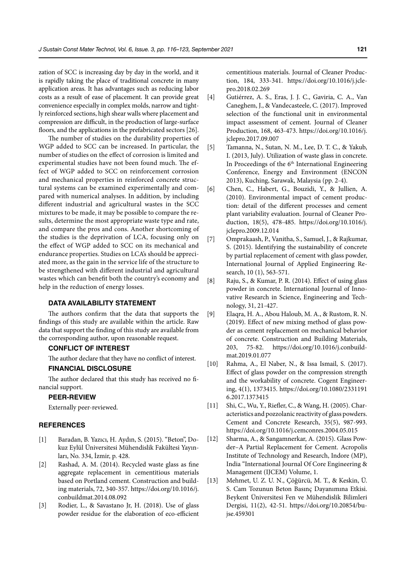zation of SCC is increasing day by day in the world, and it is rapidly taking the place of traditional concrete in many application areas. It has advantages such as reducing labor costs as a result of ease of placement. It can provide great convenience especially in complex molds, narrow and tightly reinforced sections, high shear walls where placement and compression are difficult, in the production of large-surface floors, and the applications in the prefabricated sectors [26].

The number of studies on the durability properties of WGP added to SCC can be increased. In particular, the number of studies on the effect of corrosion is limited and experimental studies have not been found much. The effect of WGP added to SCC on reinforcement corrosion and mechanical properties in reinforced concrete structural systems can be examined experimentally and compared with numerical analyses. In addition, by including different industrial and agricultural wastes in the SCC mixtures to be made, it may be possible to compare the results, determine the most appropriate waste type and rate, and compare the pros and cons. Another shortcoming of the studies is the deprivation of LCA, focusing only on the effect of WGP added to SCC on its mechanical and endurance properties. Studies on LCA's should be appreciated more, as the gain in the service life of the structure to be strengthened with different industrial and agricultural wastes which can benefit both the country's economy and help in the reduction of energy losses.

### **DATA AVAILABILITY STATEMENT**

The authors confirm that the data that supports the findings of this study are available within the article. Raw data that support the finding of this study are available from the corresponding author, upon reasonable request.

### **CONFLICT OF INTEREST**

The author declare that they have no conflict of interest.

# **FINANCIAL DISCLOSURE**

The author declared that this study has received no financial support.

### **PEER-REVIEW**

Externally peer-reviewed.

### **REFERENCES**

- [1] Baradan, B. Yazıcı, H. Aydın, S. (2015). "Beton", Dokuz Eylül Üniversitesi Mühendislik Fakültesi Yayınları, No. 334, İzmir, p. 428.
- [2] Rashad, A. M. (2014). Recycled waste glass as fine aggregate replacement in cementitious materials based on Portland cement. Construction and building materials, 72, 340-357. https://doi.org/10.1016/j. conbuildmat.2014.08.092
- [3] Rodier, L., & Savastano Jr, H. (2018). Use of glass powder residue for the elaboration of eco-efficient

cementitious materials. Journal of Cleaner Production, 184, 333-341. https://doi.org/10.1016/j.jclepro.2018.02.269

- [4] Gutiérrez, A. S., Eras, J. J. C., Gaviria, C. A., Van Caneghem, J., & Vandecasteele, C. (2017). Improved selection of the functional unit in environmental impact assessment of cement. Journal of Cleaner Production, 168, 463-473. https://doi.org/10.1016/j. jclepro.2017.09.007
- [5] Tamanna, N., Sutan, N. M., Lee, D. T. C., & Yakub, I. (2013, July). Utilization of waste glass in concrete. In Proceedings of the  $6<sup>th</sup>$  International Engineering Conference, Energy and Environment (ENCON 2013), Kuching, Sarawak, Malaysia (pp. 2-4).
- [6] Chen, C., Habert, G., Bouzidi, Y., & Jullien, A. (2010). Environmental impact of cement production: detail of the different processes and cement plant variability evaluation. Journal of Cleaner Production, 18(5), 478-485. https://doi.org/10.1016/j. jclepro.2009.12.014
- [7] Omprakaash, P., Vanitha, S., Samuel, J., & Rajkumar, S. (2015). Identifying the sustainability of concrete by partial replacement of cement with glass powder, International Journal of Applied Engineering Research, 10 (1), 563-571.
- [8] Raju, S., & Kumar, P. R. (2014). Effect of using glass powder in concrete. International Journal of Innovative Research in Science, Engineering and Technology, 31, 21-427.
- [9] Elaqra, H. A., Abou Haloub, M. A., & Rustom, R. N. (2019). Effect of new mixing method of glass powder as cement replacement on mechanical behavior of concrete. Construction and Building Materials, 203, 75-82. https://doi.org/10.1016/j.conbuildmat.2019.01.077
- [10] Rahma, A., El Naber, N., & Issa Ismail, S. (2017). Effect of glass powder on the compression strength and the workability of concrete. Cogent Engineering, 4(1), 1373415. https://doi.org/10.1080/2331191 6.2017.1373415
- [11] Shi, C., Wu, Y., Riefler, C., & Wang, H. (2005). Characteristics and pozzolanic reactivity of glass powders. Cement and Concrete Research, 35(5), 987-993. https://doi.org/10.1016/j.cemconres.2004.05.015
- [12] Sharma, A., & Sangamnerkar, A. (2015). Glass Powder–A Partial Replacement for Cement. Acropolis Institute of Technology and Research, Indore (MP), India "International Journal Of Core Engineering & Management (IJCEM) Volume, 1.
- [13] Mehmet, U. Z. U. N., Çöğürcü, M. T., & Keskin, Ü. S. Cam Tozunun Beton Basınç Dayanımına Etkisi. Beykent Üniversitesi Fen ve Mühendislik Bilimleri Dergisi, 11(2), 42-51. https://doi.org/10.20854/bujse.459301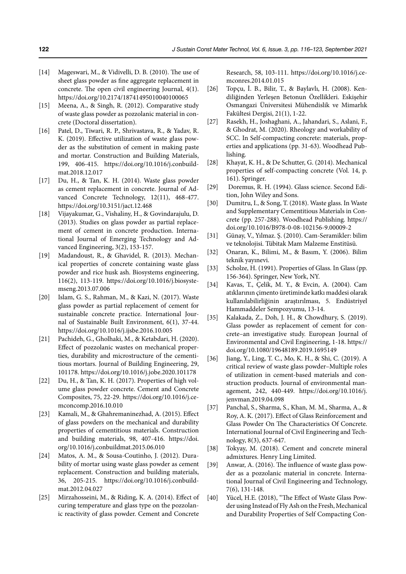- [14] Mageswari, M., & Vidivelli, D. B. (2010). The use of sheet glass powder as fine aggregate replacement in concrete. The open civil engineering Journal, 4(1). https://doi.org/10.2174/18741495010040100065
- [15] Meena, A., & Singh, R. (2012). Comparative study of waste glass powder as pozzolanic material in concrete (Doctoral dissertation).
- [16] Patel, D., Tiwari, R. P., Shrivastava, R., & Yadav, R. K. (2019). Effective utilization of waste glass powder as the substitution of cement in making paste and mortar. Construction and Building Materials, 199, 406-415. https://doi.org/10.1016/j.conbuildmat.2018.12.017
- [17] Du, H., & Tan, K. H. (2014). Waste glass powder as cement replacement in concrete. Journal of Advanced Concrete Technology, 12(11), 468-477. https://doi.org/10.3151/jact.12.468
- [18] Vijayakumar, G., Vishaliny, H., & Govindarajulu, D. (2013). Studies on glass powder as partial replacement of cement in concrete production. International Journal of Emerging Technology and Advanced Engineering, 3(2), 153-157.
- [19] Madandoust, R., & Ghavidel, R. (2013). Mechanical properties of concrete containing waste glass powder and rice husk ash. Biosystems engineering, 116(2), 113-119. https://doi.org/10.1016/j.biosystemseng.2013.07.006
- [20] Islam, G. S., Rahman, M., & Kazi, N. (2017). Waste glass powder as partial replacement of cement for sustainable concrete practice. International Journal of Sustainable Built Environment, 6(1), 37-44. https://doi.org/10.1016/j.ijsbe.2016.10.005
- [21] Pachideh, G., Gholhaki, M., & Ketabdari, H. (2020). Effect of pozzolanic wastes on mechanical properties, durability and microstructure of the cementitious mortars. Journal of Building Engineering, 29, 101178. https://doi.org/10.1016/j.jobe.2020.101178
- [22] Du, H., & Tan, K. H. (2017). Properties of high volume glass powder concrete. Cement and Concrete Composites, 75, 22-29. https://doi.org/10.1016/j.cemconcomp.2016.10.010
- [23] Kamali, M., & Ghahremaninezhad, A. (2015). Effect of glass powders on the mechanical and durability properties of cementitious materials. Construction and building materials, 98, 407-416. https://doi. org/10.1016/j.conbuildmat.2015.06.010
- [24] Matos, A. M., & Sousa-Coutinho, J. (2012). Durability of mortar using waste glass powder as cement replacement. Construction and building materials, 36, 205-215. https://doi.org/10.1016/j.conbuildmat.2012.04.027
- [25] Mirzahosseini, M., & Riding, K. A. (2014). Effect of curing temperature and glass type on the pozzolanic reactivity of glass powder. Cement and Concrete

Research, 58, 103-111. https://doi.org/10.1016/j.cemconres.2014.01.015

- [26] Topçu, İ. B., Bilir, T., & Baylavlı, H. (2008). Kendiliğinden Yerleşen Betonun Özellikleri. Eskişehir Osmangazi Üniversitesi Mühendislik ve Mimarlık Fakültesi Dergisi, 21(1), 1-22.
- [27] Rasekh, H., Joshaghani, A., Jahandari, S., Aslani, F., & Ghodrat, M. (2020). Rheology and workability of SCC. In Self-compacting concrete: materials, properties and applications (pp. 31-63). Woodhead Publishing.
- [28] Khayat, K. H., & De Schutter, G. (2014). Mechanical properties of self-compacting concrete (Vol. 14, p. 161). Springer.
- [29] Doremus, R. H. (1994). Glass science. Second Edition, John Wiley and Sons.
- [30] Dumitru, I., & Song, T. (2018). Waste glass. In Waste and Supplementary Cementitious Materials in Concrete (pp. 257-288). Woodhead Publishing. https:// doi.org/10.1016/B978-0-08-102156-9.00009-2
- [31] Günay, V., Yılmaz. Ş. (2010). Cam-Seramikler: bilim ve teknolojisi. Tübitak Mam Malzeme Enstitüsü.
- [32] Onaran, K., Bilimi, M., & Basım, Y. (2006). Bilim teknik yayınevi.
- [33] Scholze, H. (1991). Properties of Glass. In Glass (pp. 156-364). Springer, New York, NY.
- [34] Kavas, T., Çelik, M. Y., & Evcin, A. (2004). Cam atıklarının çimento üretiminde katkı maddesi olarak kullanılabilirliğinin araştırılması, 5. Endüstriyel Hammaddeler Sempozyumu, 13-14.
- [35] Kalakada, Z., Doh, J. H., & Chowdhury, S. (2019). Glass powder as replacement of cement for concrete–an investigative study. European Journal of Environmental and Civil Engineering, 1-18. https:// doi.org/10.1080/19648189.2019.1695149
- [36] Jiang, Y., Ling, T. C., Mo, K. H., & Shi, C. (2019). A critical review of waste glass powder–Multiple roles of utilization in cement-based materials and construction products. Journal of environmental management, 242, 440-449. https://doi.org/10.1016/j. jenvman.2019.04.098
- [37] Panchal, S., Sharma, S., Khan, M. M., Sharma, A., & Roy, A. K. (2017). Effect of Glass Reinforcement and Glass Powder On The Characteristics Of Concrete. International Journal of Civil Engineering and Technology, 8(3), 637-647.
- [38] Tokyay, M. (2018). Cement and concrete mineral admixtures. Henry Ling Limited.
- [39] Anwar, A. (2016). The influence of waste glass powder as a pozzolanic material in concrete. International Journal of Civil Engineering and Technology, 7(6), 131-148.
- [40] Yücel, H.E. (2018), "The Effect of Waste Glass Powder using Instead of Fly Ash on the Fresh, Mechanical and Durability Properties of Self Compacting Con-